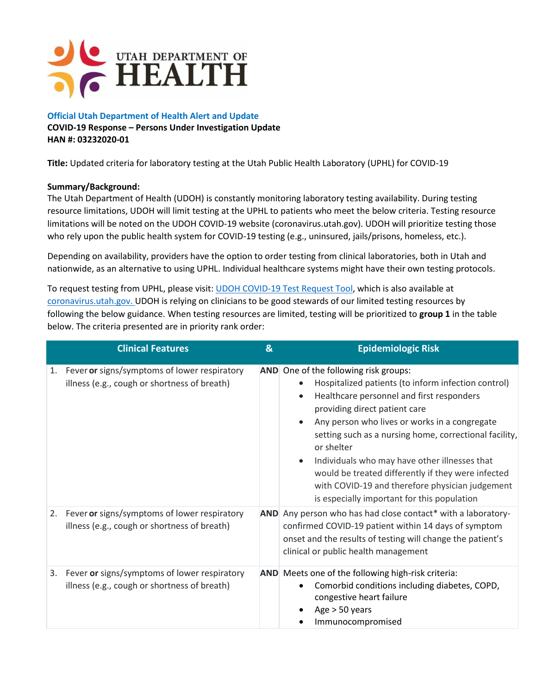

### **Official Utah Department of Health Alert and Update**

#### **COVID-19 Response – Persons Under Investigation Update HAN #: 03232020-01**

**Title:** Updated criteria for laboratory testing at the Utah Public Health Laboratory (UPHL) for COVID-19

## **Summary/Background:**

The Utah Department of Health (UDOH) is constantly monitoring laboratory testing availability. During testing resource limitations, UDOH will limit testing at the UPHL to patients who meet the below criteria. Testing resource limitations will be noted on the UDOH COVID-19 website (coronavirus.utah.gov). UDOH will prioritize testing those who rely upon the public health system for COVID-19 testing (e.g., uninsured, jails/prisons, homeless, etc.).

Depending on availability, providers have the option to order testing from clinical laboratories, both in Utah and nationwide, as an alternative to using UPHL. Individual healthcare systems might have their own testing protocols.

To request testing from UPHL, please visit: [UDOH COVID-19 Test Request Tool,](https://pubredcap.health.utah.gov/surveys/?s=RTMFDYK4TH) which is also available at [coronavirus.utah.gov.](https://health.utah.gov/coronavirus) UDOH is relying on clinicians to be good stewards of our limited testing resources by following the below guidance. When testing resources are limited, testing will be prioritized to **group 1** in the table below. The criteria presented are in priority rank order:

|    | <b>Clinical Features</b>                                                                     | $\mathbf{g}$ | <b>Epidemiologic Risk</b>                                                                                                                                                                                                                                                                                                                                                                                                                                                                                    |
|----|----------------------------------------------------------------------------------------------|--------------|--------------------------------------------------------------------------------------------------------------------------------------------------------------------------------------------------------------------------------------------------------------------------------------------------------------------------------------------------------------------------------------------------------------------------------------------------------------------------------------------------------------|
| 1. | Fever or signs/symptoms of lower respiratory<br>illness (e.g., cough or shortness of breath) |              | AND One of the following risk groups:<br>Hospitalized patients (to inform infection control)<br>Healthcare personnel and first responders<br>providing direct patient care<br>Any person who lives or works in a congregate<br>setting such as a nursing home, correctional facility,<br>or shelter<br>Individuals who may have other illnesses that<br>would be treated differently if they were infected<br>with COVID-19 and therefore physician judgement<br>is especially important for this population |
| 2. | Fever or signs/symptoms of lower respiratory<br>illness (e.g., cough or shortness of breath) |              | AND Any person who has had close contact* with a laboratory-<br>confirmed COVID-19 patient within 14 days of symptom<br>onset and the results of testing will change the patient's<br>clinical or public health management                                                                                                                                                                                                                                                                                   |
| 3. | Fever or signs/symptoms of lower respiratory<br>illness (e.g., cough or shortness of breath) |              | AND Meets one of the following high-risk criteria:<br>Comorbid conditions including diabetes, COPD,<br>congestive heart failure<br>Age $>$ 50 years<br>Immunocompromised                                                                                                                                                                                                                                                                                                                                     |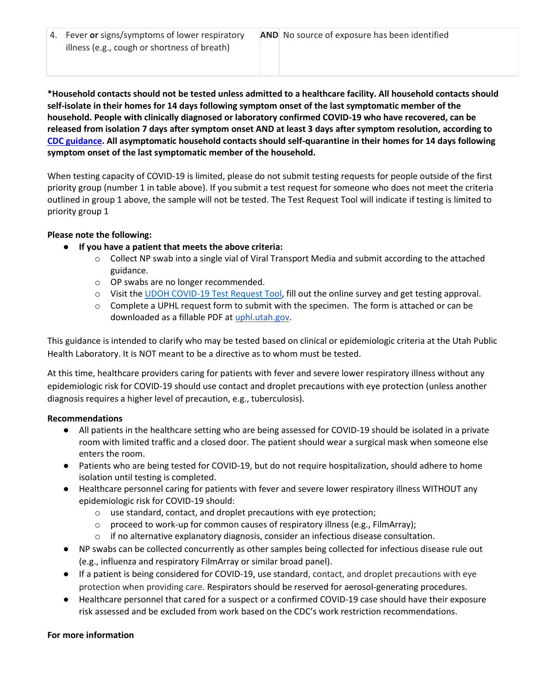4. Fever **or** signs/symptoms of lower respiratory illness (e.g., cough or shortness of breath)

**\*Household contacts should not be tested unless admitted to a healthcare facility. All household contacts should self-isolate in their homes for 14 days following symptom onset of the last symptomatic member of the household. People with clinically diagnosed or laboratory confirmed COVID-19 who have recovered, can be released from isolation 7 days after symptom onset AND at least 3 days after symptom resolution, according to [CDC guidance.](https://www.cdc.gov/coronavirus/2019-ncov/hcp/disposition-in-home-patients.html) All asymptomatic household contacts should self-quarantine in their homes for 14 days following symptom onset of the last symptomatic member of the household.**

When testing capacity of COVID-19 is limited, please do not submit testing requests for people outside of the first priority group (number 1 in table above). If you submit a test request for someone who does not meet the criteria outlined in group 1 above, the sample will not be tested. The Test Request Tool will indicate if testing is limited to priority group 1

### **Please note the following:**

# ● **If you have a patient that meets the above criteria:**

- $\circ$  Collect NP swab into a single vial of Viral Transport Media and submit according to the attached guidance.
- o OP swabs are no longer recommended.
- o Visit the [UDOH COVID-19 Test Request Tool,](https://pubredcap.health.utah.gov/surveys/?s=RTMFDYK4TH) fill out the online survey and get testing approval.
- o Complete a UPHL request form to submit with the specimen. The form is attached or can be downloaded as a fillable PDF at [uphl.utah.gov.](http://uphl.utah.gov/)

This guidance is intended to clarify who may be tested based on clinical or epidemiologic criteria at the Utah Public Health Laboratory. It is NOT meant to be a directive as to whom must be tested.

At this time, healthcare providers caring for patients with fever and severe lower respiratory illness without any epidemiologic risk for COVID-19 should use contact and droplet precautions with eye protection (unless another diagnosis requires a higher level of precaution, e.g., tuberculosis).

### **Recommendations**

- All patients in the healthcare setting who are being assessed for COVID-19 should be isolated in a private room with limited traffic and a closed door. The patient should wear a surgical mask when someone else enters the room.
- Patients who are being tested for COVID-19, but do not require hospitalization, should adhere to home isolation until testing is completed.
- Healthcare personnel caring for patients with fever and severe lower respiratory illness WITHOUT any epidemiologic risk for COVID-19 should:
	- o use standard, contact, and droplet precautions with eye protection;
	- o proceed to work-up for common causes of respiratory illness (e.g., FilmArray);
	- $\circ$  if no alternative explanatory diagnosis, consider an infectious disease consultation.
- NP swabs can be collected concurrently as other samples being collected for infectious disease rule out (e.g., influenza and respiratory FilmArray or similar broad panel).
- If a patient is being considered for COVID-19, use standard, contact, and droplet precautions with eye protection when providing care. Respirators should be reserved for aerosol-generating procedures.
- Healthcare personnel that cared for a suspect or a confirmed COVID-19 case should have their exposure risk assessed and be excluded from work based on the CDC's work restriction recommendations.

### **For more information**